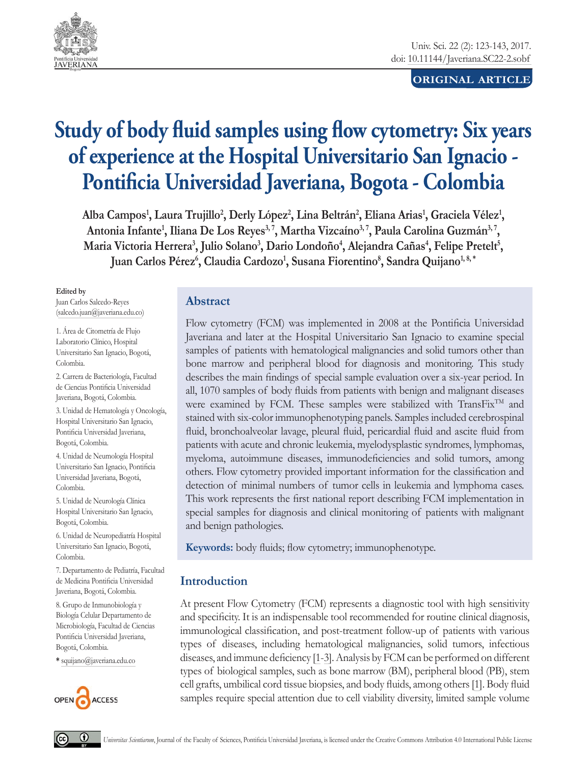

## **ORIGINAL ARTICLE**

# **Study of body fluid samples using flow cytometry: Six years of experience at the Hospital Universitario San Ignacio -**  Pontificia Universidad Javeriana, Bogota - Colombia

Alba Campos<sup>1</sup>, Laura Trujillo<sup>2</sup>, Derly López<sup>2</sup>, Lina Beltrán<sup>2</sup>, Eliana Arias<sup>1</sup>, Graciela Vélez<sup>1</sup>, Antonia Infante<sup>1</sup>, Iliana De Los Reyes<sup>3, 7</sup>, Martha Vizcaíno<sup>3, 7</sup>, Paula Carolina Guzmán<sup>3, 7</sup>, Maria Victoria Herrera<sup>3</sup>, Julio Solano<sup>3</sup>, Dario Londoño<sup>4</sup>, Alejandra Cañas<sup>4</sup>, Felipe Pretelt<sup>5</sup>, Juan Carlos Pérez<sup>6</sup>, Claudia Cardozo<sup>1</sup>, Susana Fiorentino<sup>8</sup>, Sandra Quijano<sup>1,8,</sup>\*

**Edited by**

Juan Carlos Salcedo-Reyes (salcedo.juan@javeriana.edu.co)

1. Área de Citometría de Flujo Laboratorio Clínico, Hospital Universitario San Ignacio, Bogotá, Colombia.

2. Carrera de Bacteriología, Facultad de Ciencias Pontificia Universidad Javeriana, Bogotá, Colombia.

3. Unidad de Hematología y Oncología, Hospital Universitario San Ignacio, Pontificia Universidad Javeriana, Bogotá, Colombia.

4. Unidad de Neumología Hospital Universitario San Ignacio, Pontificia Universidad Javeriana, Bogotá, Colombia.

5. Unidad de Neurología Clínica Hospital Universitario San Ignacio, Bogotá, Colombia.

6. Unidad de Neuropediatría Hospital Universitario San Ignacio, Bogotá, Colombia.

7. Departamento de Pediatría, Facultad de Medicina Pontificia Universidad Javeriana, Bogotá, Colombia.

8. Grupo de Inmunobiología y Biología Celular Departamento de Microbiología, Facultad de Ciencias Pontificia Universidad Javeriana, Bogotá, Colombia.

**\*** squijano@javeriana.edu.co



## **Abstract**

Flow cytometry (FCM) was implemented in 2008 at the Pontificia Universidad Javeriana and later at the Hospital Universitario San Ignacio to examine special samples of patients with hematological malignancies and solid tumors other than bone marrow and peripheral blood for diagnosis and monitoring. This study describes the main findings of special sample evaluation over a six-year period. In all, 1070 samples of body fluids from patients with benign and malignant diseases were examined by FCM. These samples were stabilized with TransFix<sup>TM</sup> and stained with six-color immunophenotyping panels. Samples included cerebrospinal fluid, bronchoalveolar lavage, pleural fluid, pericardial fluid and ascite fluid from patients with acute and chronic leukemia, myelodysplastic syndromes, lymphomas, myeloma, autoimmune diseases, immunodeficiencies and solid tumors, among others. Flow cytometry provided important information for the classification and detection of minimal numbers of tumor cells in leukemia and lymphoma cases. This work represents the first national report describing FCM implementation in special samples for diagnosis and clinical monitoring of patients with malignant and benign pathologies.

**Keywords:** body fluids; flow cytometry; immunophenotype.

## **Introduction**

At present Flow Cytometry (FCM) represents a diagnostic tool with high sensitivity and specificity. It is an indispensable tool recommended for routine clinical diagnosis, immunological classification, and post-treatment follow-up of patients with various types of diseases, including hematological malignancies, solid tumors, infectious diseases, and immune deficiency [1-3]. Analysis by FCM can be performed on different types of biological samples, such as bone marrow (BM), peripheral blood (PB), stem cell grafts, umbilical cord tissue biopsies, and body fluids, among others [1]. Body fluid samples require special attention due to cell viability diversity, limited sample volume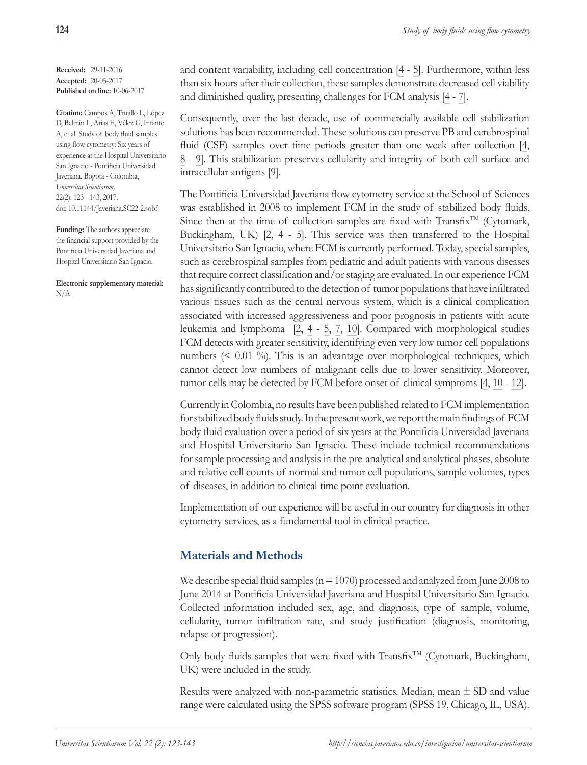**Received:** 29-11-2016 **Accepted:** 20-05-2017 **Published on line:** 10-06-2017

**Citation:** Campos A, Trujillo L, López D, Beltrán L, Arias E, Vélez G, Infante A, et al. Study of body fluid samples using flow cytometry: Six years of experience at the Hospital Universitario San Ignacio - Pontificia Universidad Javeriana, Bogota - Colombia, *Universitas Scientiarum,* 22(2): 123 - 143, 2017. doi: 10.11144/Javeriana.SC22-2.sobf

**Funding:** The authors appreciate the financial support provided by the Pontificia Universidad Javeriana and Hospital Universitario San Ignacio.

**Electronic supplementary material:** N/A

and content variability, including cell concentration [4 - 5]. Furthermore, within less than six hours after their collection, these samples demonstrate decreased cell viability and diminished quality, presenting challenges for FCM analysis [4 - 7].

Consequently, over the last decade, use of commercially available cell stabilization solutions has been recommended. These solutions can preserve PB and cerebrospinal fluid (CSF) samples over time periods greater than one week after collection [4, 8 - 9]. This stabilization preserves cellularity and integrity of both cell surface and intracellular antigens [9].

The Pontificia Universidad Javeriana flow cytometry service at the School of Sciences was established in 2008 to implement FCM in the study of stabilized body fluids. Since then at the time of collection samples are fixed with Transfix<sup>TM</sup> (Cytomark, Buckingham, UK) [2, 4 - 5]. This service was then transferred to the Hospital Universitario San Ignacio, where FCM is currently performed. Today, special samples, such as cerebrospinal samples from pediatric and adult patients with various diseases that require correct classification and/or staging are evaluated. In our experience FCM has significantly contributed to the detection of tumor populations that have infiltrated various tissues such as the central nervous system, which is a clinical complication associated with increased aggressiveness and poor prognosis in patients with acute leukemia and lymphoma [2, 4 - 5, 7, 10]. Compared with morphological studies FCM detects with greater sensitivity, identifying even very low tumor cell populations numbers (< 0.01 %). This is an advantage over morphological techniques, which cannot detect low numbers of malignant cells due to lower sensitivity. Moreover, tumor cells may be detected by FCM before onset of clinical symptoms [4, 10 - 12].

Currently in Colombia, no results have been published related to FCM implementation for stabilized body fluids study. In the present work, we report the main findings of FCM body fluid evaluation over a period of six years at the Pontificia Universidad Javeriana and Hospital Universitario San Ignacio. These include technical recommendations for sample processing and analysis in the pre-analytical and analytical phases, absolute and relative cell counts of normal and tumor cell populations, sample volumes, types of diseases, in addition to clinical time point evaluation.

Implementation of our experience will be useful in our country for diagnosis in other cytometry services, as a fundamental tool in clinical practice.

## **Materials and Methods**

We describe special fluid samples ( $n = 1070$ ) processed and analyzed from June 2008 to June 2014 at Pontificia Universidad Javeriana and Hospital Universitario San Ignacio. Collected information included sex, age, and diagnosis, type of sample, volume, cellularity, tumor infiltration rate, and study justification (diagnosis, monitoring, relapse or progression).

Only body fluids samples that were fixed with Transfix<sup>TM</sup> (Cytomark, Buckingham, UK) were included in the study.

Results were analyzed with non-parametric statistics. Median, mean  $\pm$  SD and value range were calculated using the SPSS software program (SPSS 19, Chicago, IL, USA).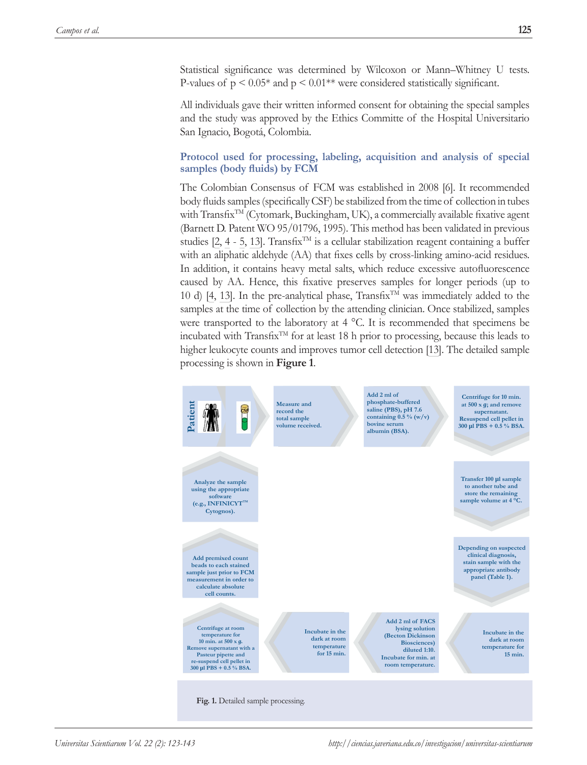Statistical significance was determined by Wilcoxon or Mann–Whitney U tests. P-values of  $p \leq 0.05^*$  and  $p \leq 0.01^{**}$  were considered statistically significant.

All individuals gave their written informed consent for obtaining the special samples and the study was approved by the Ethics Committe of the Hospital Universitario San Ignacio, Bogotá, Colombia.

### **Protocol used for processing, labeling, acquisition and analysis of special samples (body fluids) by FCM**

The Colombian Consensus of FCM was established in 2008 [6]. It recommended body fluids samples (specifically CSF) be stabilized from the time of collection in tubes with Transfix<sup>TM</sup> (Cytomark, Buckingham, UK), a commercially available fixative agent (Barnett D. Patent WO 95/01796, 1995). This method has been validated in previous studies [2, 4 - 5, 13]. Transfix<sup>TM</sup> is a cellular stabilization reagent containing a buffer with an aliphatic aldehyde (AA) that fixes cells by cross-linking amino-acid residues. In addition, it contains heavy metal salts, which reduce excessive autofluorescence caused by AA. Hence, this fixative preserves samples for longer periods (up to 10 d) [4, 13]. In the pre-analytical phase, Transfix<sup>TM</sup> was immediately added to the samples at the time of collection by the attending clinician. Once stabilized, samples were transported to the laboratory at 4 °C. It is recommended that specimens be incubated with Transfix<sup>TM</sup> for at least 18 h prior to processing, because this leads to higher leukocyte counts and improves tumor cell detection [13]. The detailed sample processing is shown in **Figure 1**.

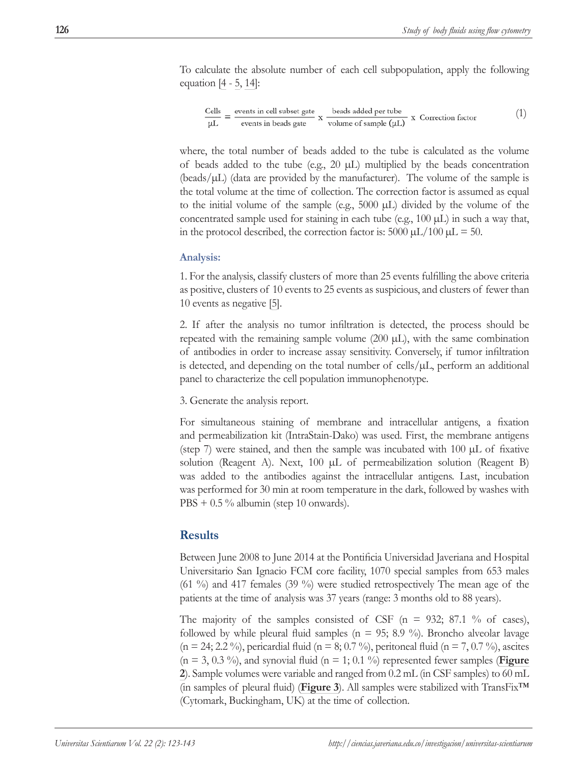To calculate the absolute number of each cell subpopulation, apply the following equation [4 - 5, 14]:

$$
\frac{Cells}{µL} = \frac{events in cell subset gate}{events in beads gate} \times \frac{beads added per tube}{volume of sample (µL)} \times Correction factor
$$
 (1)

where, the total number of beads added to the tube is calculated as the volume of beads added to the tube (e.g.,  $20 \mu L$ ) multiplied by the beads concentration (beads/µL) (data are provided by the manufacturer). The volume of the sample is the total volume at the time of collection. The correction factor is assumed as equal to the initial volume of the sample (e.g., 5000 µL) divided by the volume of the concentrated sample used for staining in each tube (e.g.,  $100 \mu L$ ) in such a way that, in the protocol described, the correction factor is: 5000  $\mu$ L/100  $\mu$ L = 50.

#### **Analysis:**

1. For the analysis, classify clusters of more than 25 events fulfilling the above criteria as positive, clusters of 10 events to 25 events as suspicious, and clusters of fewer than 10 events as negative [5].

2. If after the analysis no tumor infiltration is detected, the process should be repeated with the remaining sample volume  $(200 \mu L)$ , with the same combination of antibodies in order to increase assay sensitivity. Conversely, if tumor infiltration is detected, and depending on the total number of cells/ $\mu$ , perform an additional panel to characterize the cell population immunophenotype.

3. Generate the analysis report.

For simultaneous staining of membrane and intracellular antigens, a fixation and permeabilization kit (IntraStain-Dako) was used. First, the membrane antigens (step 7) were stained, and then the sample was incubated with 100 µL of fixative solution (Reagent A). Next, 100 µL of permeabilization solution (Reagent B) was added to the antibodies against the intracellular antigens. Last, incubation was performed for 30 min at room temperature in the dark, followed by washes with  $PBS + 0.5 \%$  albumin (step 10 onwards).

## **Results**

Between June 2008 to June 2014 at the Pontificia Universidad Javeriana and Hospital Universitario San Ignacio FCM core facility, 1070 special samples from 653 males (61 %) and 417 females (39 %) were studied retrospectively The mean age of the patients at the time of analysis was 37 years (range: 3 months old to 88 years).

The majority of the samples consisted of CSF ( $n = 932$ ; 87.1 % of cases), followed by while pleural fluid samples ( $n = 95$ ; 8.9 %). Broncho alveolar lavage  $(n = 24; 2.2 \%)$ , pericardial fluid  $(n = 8; 0.7 \%)$ , peritoneal fluid  $(n = 7, 0.7 \%)$ , ascites  $(n = 3, 0.3 \%)$ , and synovial fluid  $(n = 1, 0.1 \%)$  represented fewer samples (**Figure 2**). Sample volumes were variable and ranged from 0.2 mL (in CSF samples) to 60 mL (in samples of pleural fluid) (**Figure 3**). All samples were stabilized with TransFix™ (Cytomark, Buckingham, UK) at the time of collection.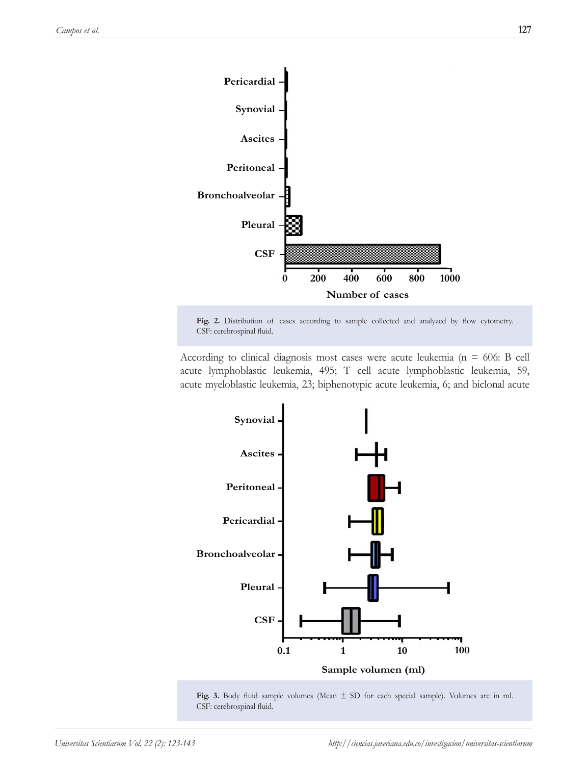

Fig. 2. Distribution of cases according to sample collected and analyzed by flow cytometry. CSF: cerebrospinal fluid.

According to clinical diagnosis most cases were acute leukemia ( $n = 606$ : B cell acute lymphoblastic leukemia, 495; T cell acute lymphoblastic leukemia, 59, acute myeloblastic leukemia, 23; biphenotypic acute leukemia, 6; and biclonal acute



**Fig. 3.** Body fluid sample volumes (Mean ± SD for each special sample). Volumes are in ml. CSF: cerebrospinal fluid.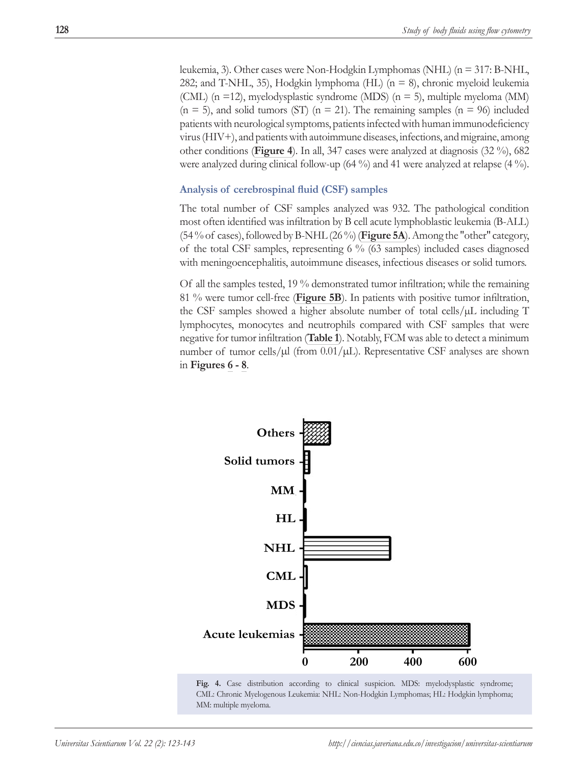leukemia, 3). Other cases were Non-Hodgkin Lymphomas (NHL) (n = 317: B-NHL, 282; and T-NHL, 35), Hodgkin lymphoma (HL) (n = 8), chronic myeloid leukemia (CML) (n =12), myelodysplastic syndrome (MDS) (n = 5), multiple myeloma (MM)  $(n = 5)$ , and solid tumors (ST)  $(n = 21)$ . The remaining samples  $(n = 96)$  included patients with neurological symptoms, patients infected with human immunodeficiency virus (HIV+), and patients with autoimmune diseases, infections, and migraine, among other conditions (**Figure 4**). In all, 347 cases were analyzed at diagnosis (32 %), 682 were analyzed during clinical follow-up (64 %) and 41 were analyzed at relapse (4 %).

#### **Analysis of cerebrospinal fluid (CSF) samples**

The total number of CSF samples analyzed was 932. The pathological condition most often identified was infiltration by B cell acute lymphoblastic leukemia (B-ALL) (54 % of cases), followed by B-NHL (26 %) (**Figure 5A**). Among the "other" category, of the total CSF samples, representing 6 % (63 samples) included cases diagnosed with meningoencephalitis, autoimmune diseases, infectious diseases or solid tumors.

Of all the samples tested, 19 % demonstrated tumor infiltration; while the remaining 81 % were tumor cell-free (**Figure 5B**). In patients with positive tumor infiltration, the CSF samples showed a higher absolute number of total cells/ $\mu$ L including T lymphocytes, monocytes and neutrophils compared with CSF samples that were negative for tumor infiltration (**Table 1**). Notably, FCM was able to detect a minimum number of tumor cells/ $\mu$ l (from 0.01/ $\mu$ L). Representative CSF analyses are shown in **Figures 6 - 8**.



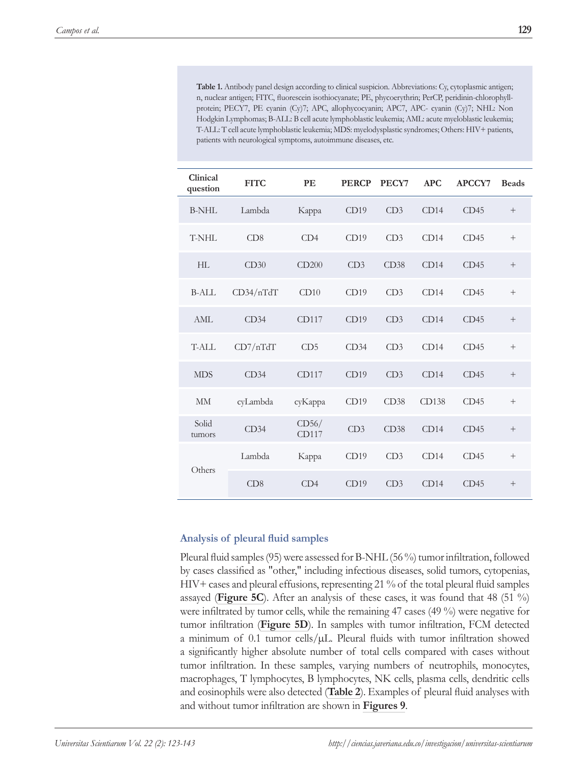**Table 1.** Antibody panel design according to clinical suspicion. Abbreviations: Cy, cytoplasmic antigen; n, nuclear antigen; FITC, fluorescein isothiocyanate; PE, phycoerythrin; PerCP, peridinin-chlorophyllprotein; PECY7, PE cyanin (Cy)7; APC, allophycocyanin; APC7, APC- cyanin (Cy)7; NHL: Non Hodgkin Lymphomas; B-ALL: B cell acute lymphoblastic leukemia; AML: acute myeloblastic leukemia; T-ALL: T cell acute lymphoblastic leukemia; MDS: myelodysplastic syndromes; Others: HIV+ patients, patients with neurological symptoms, autoimmune diseases, etc.

| Clinical<br>question | <b>FITC</b> | PE              | <b>PERCP</b> | PECY7 | <b>APC</b> | APCCY7 | <b>Beads</b> |
|----------------------|-------------|-----------------|--------------|-------|------------|--------|--------------|
| B-NHL                | Lambda      | Карра           | CD19         | CD3   | CD14       | CD45   | $^{+}$       |
| T-NHL                | CD8         | CD4             | CD19         | CD3   | CD14       | CD45   | $^{+}$       |
| HI.                  | CD30        | CD200           | CD3          | CD38  | CD14       | CD45   | $^{+}$       |
| $B-AIL$              | CD34/nTdT   | CD10            | CD19         | CD3   | CD14       | CD45   | $^{+}$       |
| AML                  | CD34        | CD117           | CD19         | CD3   | CD14       | CD45   | $+$          |
| T-ALL                | CD7/nTdT    | CD <sub>5</sub> | CD34         | CD3   | CD14       | CD45   | $^{+}$       |
| <b>MDS</b>           | CD34        | CD117           | CD19         | CD3   | CD14       | CD45   | $+$          |
| <b>MM</b>            | cyLambda    | суКарра         | CD19         | CD38  | CD138      | CD45   | $^{+}$       |
| Solid<br>tumors      | CD34        | CD56/<br>CD117  | CD3          | CD38  | CD14       | CD45   | $\! +$       |
| Others               | Lambda      | Карра           | CD19         | CD3   | CD14       | CD45   | $^{+}$       |
|                      | CD8         | CD4             | CD19         | CD3   | CD14       | CD45   | $^{+}$       |

#### **Analysis of pleural fluid samples**

Pleural fluid samples (95) were assessed for B-NHL (56 %) tumor infiltration, followed by cases classified as "other," including infectious diseases, solid tumors, cytopenias, HIV+ cases and pleural effusions, representing 21 % of the total pleural fluid samples assayed (**Figure 5C**). After an analysis of these cases, it was found that 48 (51 %) were infiltrated by tumor cells, while the remaining 47 cases (49 %) were negative for tumor infiltration (**Figure 5D**). In samples with tumor infiltration, FCM detected a minimum of 0.1 tumor cells/µL. Pleural fluids with tumor infiltration showed a significantly higher absolute number of total cells compared with cases without tumor infiltration. In these samples, varying numbers of neutrophils, monocytes, macrophages, T lymphocytes, B lymphocytes, NK cells, plasma cells, dendritic cells and eosinophils were also detected (**Table 2**). Examples of pleural fluid analyses with and without tumor infiltration are shown in **Figures 9**.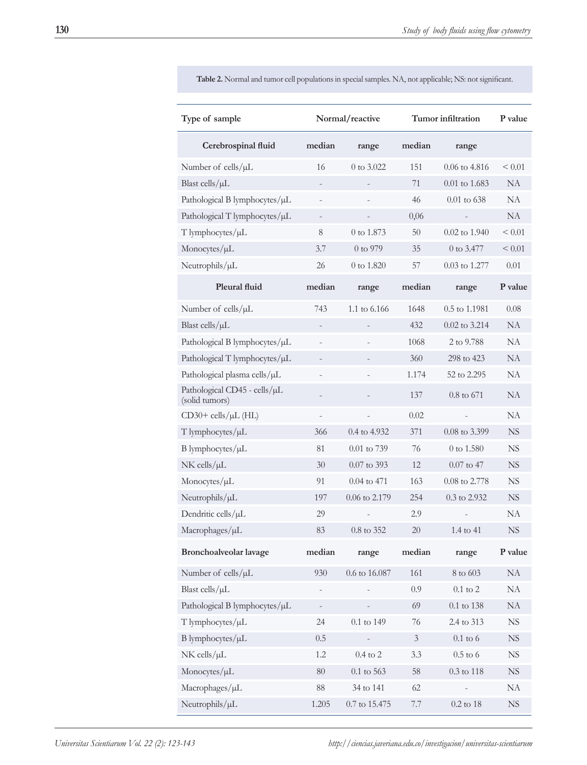| Type of sample                                 | Normal/reactive          |                          | Tumor infiltration |                   | P value     |
|------------------------------------------------|--------------------------|--------------------------|--------------------|-------------------|-------------|
| Cerebrospinal fluid                            | median                   | range                    | median             | range             |             |
| Number of cells/µL                             | 16                       | 0 to $3.022$             | 151                | $0.06$ to 4.816   | < 0.01      |
| Blast cells/ $\mu$ L                           |                          |                          | 71                 | 0.01 to 1.683     | <b>NA</b>   |
| Pathological B lymphocytes/µL                  |                          |                          | 46                 | $0.01$ to 638     | <b>NA</b>   |
| Pathological T lymphocytes/µL                  | $\qquad \qquad -$        |                          | 0,06               |                   | NA          |
| T lymphocytes/µL                               | $\,8\,$                  | 0 to 1.873               | 50                 | $0.02$ to $1.940$ | < 0.01      |
| Monocytes/µL                                   | 3.7                      | 0 to 979                 | 35                 | 0 to 3.477        | < 0.01      |
| Neutrophils/µL                                 | 26                       | 0 to 1.820               | 57                 | 0.03 to 1.277     | 0.01        |
| <b>Pleural fluid</b>                           | median                   | range                    | median             | range             | P value     |
| Number of cells/µL                             | 743                      | 1.1 to 6.166             | 1648               | 0.5 to 1.1981     | 0.08        |
| Blast cells/ $\mu$ L                           |                          |                          | 432                | 0.02 to 3.214     | NA          |
| Pathological B lymphocytes/µL                  | $\overline{\phantom{0}}$ |                          | 1068               | 2 to 9.788        | NA          |
| Pathological T lymphocytes/µL                  | $\qquad \qquad -$        | $\overline{\phantom{0}}$ | 360                | 298 to 423        | NA          |
| Pathological plasma cells/µL                   |                          |                          | 1.174              | 52 to 2.295       | NA          |
| Pathological CD45 - cells/µL<br>(solid tumors) |                          |                          | 137                | 0.8 to 671        | <b>NA</b>   |
| $CD30+$ cells/ $\mu$ L (HL)                    | $\qquad \qquad -$        |                          | 0.02               |                   | NA          |
| T lymphocytes/µL                               | 366                      | 0.4 to 4.932             | 371                | 0.08 to 3.399     | <b>NS</b>   |
| B lymphocytes/µL                               | 81                       | 0.01 to 739              | 76                 | 0 to 1.580        | <b>NS</b>   |
| $NK$ cells/ $\mu$ L                            | 30                       | 0.07 to 393              | 12                 | $0.07$ to 47      | <b>NS</b>   |
| Monocytes/µL                                   | 91                       | $0.04$ to 471            | 163                | 0.08 to 2.778     | <b>NS</b>   |
| Neutrophils/µL                                 | 197                      | 0.06 to 2.179            | 254                | 0.3 to 2.932      | <b>NS</b>   |
| Dendritic cells/µL                             | 29                       |                          | 2.9                |                   | NA          |
| Macrophages/µL                                 | 83                       | 0.8 to 352               | 20                 | 1.4 to 41         | <b>NS</b>   |
| Bronchoalveolar lavage                         | median                   | range                    | median             | range             | P value     |
| Number of cells/µL                             | 930                      | $0.6$ to $16.087$        | 161                | 8 to 603          | NA          |
| Blast cells/ $\mu$ L                           |                          |                          | 0.9                | $0.1$ to $2\,$    | <b>NA</b>   |
| Pathological B lymphocytes/µL                  | $\qquad \qquad -$        |                          | 69                 | $0.1$ to $138\,$  | NA          |
| T lymphocytes/µL                               | 24                       | 0.1 to 149               | 76                 | 2.4 to 313        | ${\rm NS}$  |
| B lymphocytes/µL                               | 0.5                      |                          | $\mathfrak{Z}$     | $0.1$ to $6\,$    | ${\rm NS}$  |
| $NK$ cells/ $\mu L$                            | 1.2                      | $0.4$ to $2$             | 3.3                | $0.5$ to $6\,$    | $_{\rm NS}$ |
| Monocytes/µL                                   | 80                       | $0.1$ to $563\,$         | 58                 | $0.3$ to $118\,$  | ${\rm NS}$  |
| Macrophages/µL                                 | 88                       | 34 to 141                | 62                 |                   | NA          |
| Neutrophils/µL                                 | 1.205                    | $0.7$ to $15.475$        | 7.7                | $0.2$ to $18\,$   | ${\rm NS}$  |

**Table 2.** Normal and tumor cell populations in special samples. NA, not applicable; NS: not significant.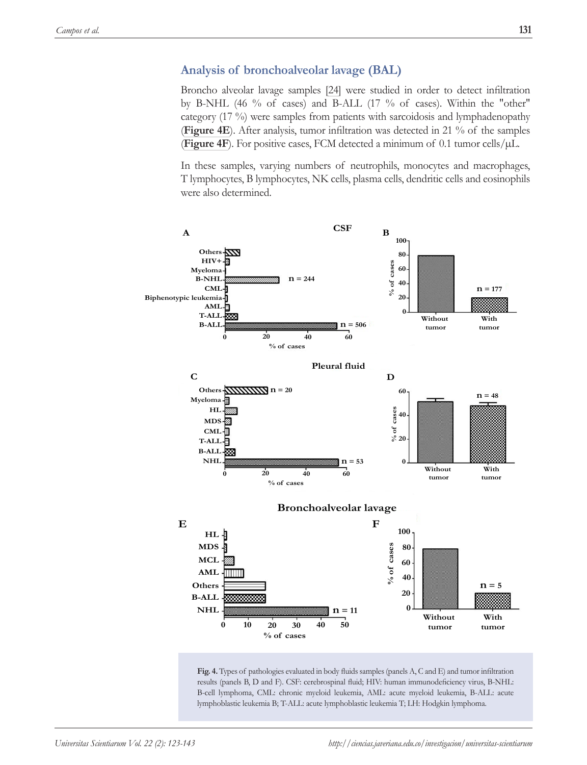## **Analysis of bronchoalveolar lavage (BAL)**

Broncho alveolar lavage samples [24] were studied in order to detect infiltration by B-NHL (46 % of cases) and B-ALL (17 % of cases). Within the "other" category (17 %) were samples from patients with sarcoidosis and lymphadenopathy (**Figure 4E**). After analysis, tumor infiltration was detected in 21 % of the samples **(Figure 4F**). For positive cases, FCM detected a minimum of 0.1 tumor cells/ $\mu$ L.

In these samples, varying numbers of neutrophils, monocytes and macrophages, T lymphocytes, B lymphocytes, NK cells, plasma cells, dendritic cells and eosinophils were also determined.



Fig. 4. Types of pathologies evaluated in body fluids samples (panels A, C and E) and tumor infiltration results (panels B, D and F). CSF: cerebrospinal fluid; HIV: human immunodeficiency virus, B-NHL: B-cell lymphoma, CML: chronic myeloid leukemia, AML: acute myeloid leukemia, B-ALL: acute lymphoblastic leukemia B; T-ALL: acute lymphoblastic leukemia T; LH: Hodgkin lymphoma.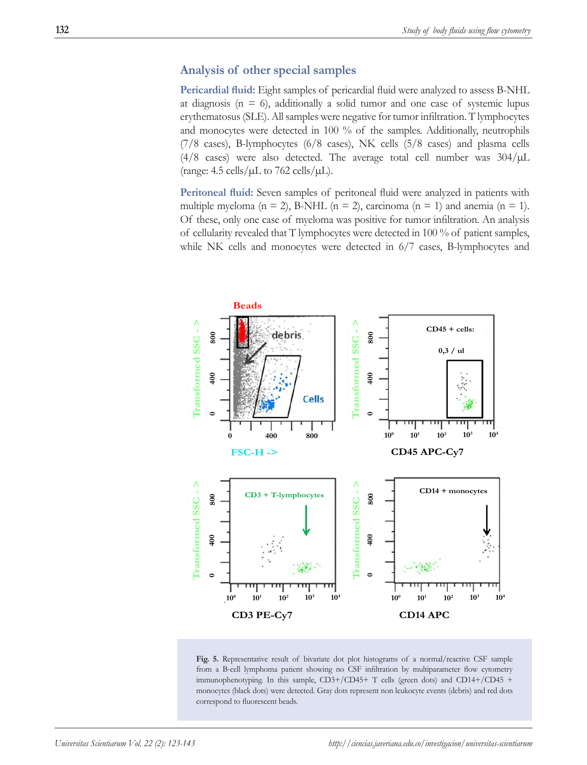## **Analysis of other special samples**

**Pericardial fluid:** Eight samples of pericardial fluid were analyzed to assess B-NHL at diagnosis ( $n = 6$ ), additionally a solid tumor and one case of systemic lupus erythematosus (SLE). All samples were negative for tumor infiltration. T lymphocytes and monocytes were detected in 100 % of the samples. Additionally, neutrophils (7/8 cases), B-lymphocytes (6/8 cases), NK cells (5/8 cases) and plasma cells (4/8 cases) were also detected. The average total cell number was  $304/\mu L$ (range: 4.5 cells/ $\mu$ L to 762 cells/ $\mu$ L).

**Peritoneal fluid:** Seven samples of peritoneal fluid were analyzed in patients with multiple myeloma ( $n = 2$ ), B-NHL ( $n = 2$ ), carcinoma ( $n = 1$ ) and anemia ( $n = 1$ ). Of these, only one case of myeloma was positive for tumor infiltration. An analysis of cellularity revealed that T lymphocytes were detected in 100 % of patient samples, while NK cells and monocytes were detected in 6/7 cases, B-lymphocytes and



**Fig. 5.** Representative result of bivariate dot plot histograms of a normal/reactive CSF sample from a B-cell lymphoma patient showing no CSF infiltration by multiparameter flow cytometry immunophenotyping. In this sample, CD3+/CD45+ T cells (green dots) and CD14+/CD45 + monocytes (black dots) were detected. Gray dots represent non leukocyte events (debris) and red dots correspond to fluorescent beads.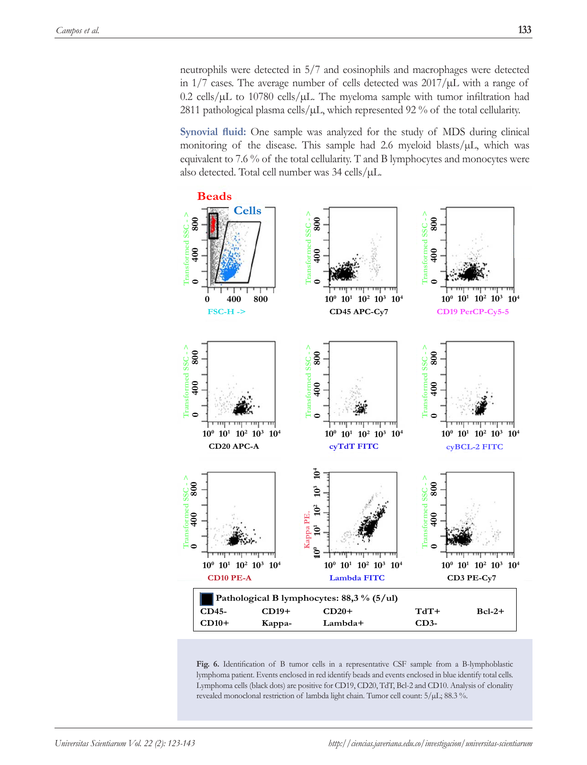neutrophils were detected in 5/7 and eosinophils and macrophages were detected in  $1/7$  cases. The average number of cells detected was  $2017/\mu L$  with a range of 0.2 cells/ $\mu$ L to 10780 cells/ $\mu$ L. The myeloma sample with tumor infiltration had 2811 pathological plasma cells/ $\mu$ L, which represented 92 % of the total cellularity.

**Synovial fluid:** One sample was analyzed for the study of MDS during clinical monitoring of the disease. This sample had 2.6 myeloid blasts/µL, which was equivalent to 7.6 % of the total cellularity. T and B lymphocytes and monocytes were also detected. Total cell number was 34 cells/µL.

![](_page_10_Figure_3.jpeg)

**Fig. 6.** Identification of B tumor cells in a representative CSF sample from a B-lymphoblastic lymphoma patient. Events enclosed in red identify beads and events enclosed in blue identify total cells. Lymphoma cells (black dots) are positive for CD19, CD20, TdT, Bcl-2 and CD10. Analysis of clonality revealed monoclonal restriction of lambda light chain. Tumor cell count: 5/µL; 88.3 %.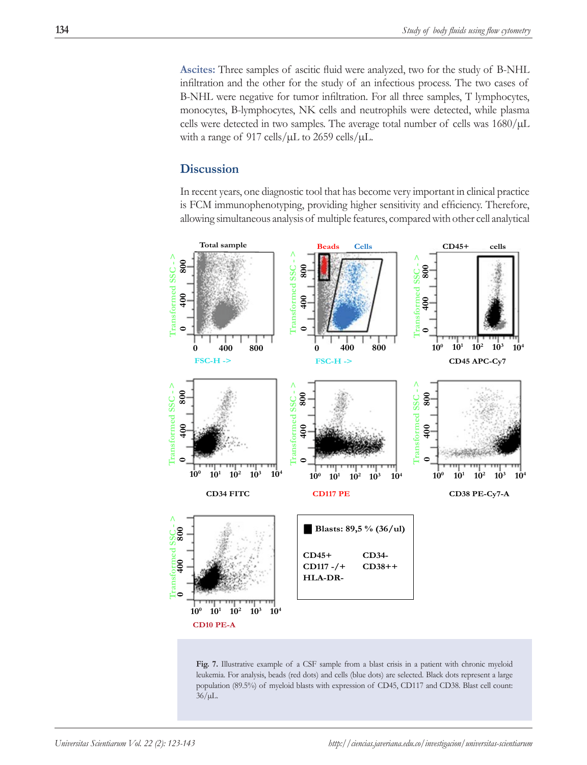**Ascites:** Three samples of ascitic fluid were analyzed, two for the study of B-NHL infiltration and the other for the study of an infectious process. The two cases of B-NHL were negative for tumor infiltration. For all three samples, T lymphocytes, monocytes, B-lymphocytes, NK cells and neutrophils were detected, while plasma cells were detected in two samples. The average total number of cells was  $1680/\mu L$ with a range of 917 cells/ $\mu$ L to 2659 cells/ $\mu$ L.

## **Discussion**

In recent years, one diagnostic tool that has become very important in clinical practice is FCM immunophenotyping, providing higher sensitivity and efficiency. Therefore, allowing simultaneous analysis of multiple features, compared with other cell analytical

![](_page_11_Figure_4.jpeg)

**Fig. 7.** Illustrative example of a CSF sample from a blast crisis in a patient with chronic myeloid leukemia. For analysis, beads (red dots) and cells (blue dots) are selected. Black dots represent a large population (89.5%) of myeloid blasts with expression of CD45, CD117 and CD38. Blast cell count:  $36/\mu L$ .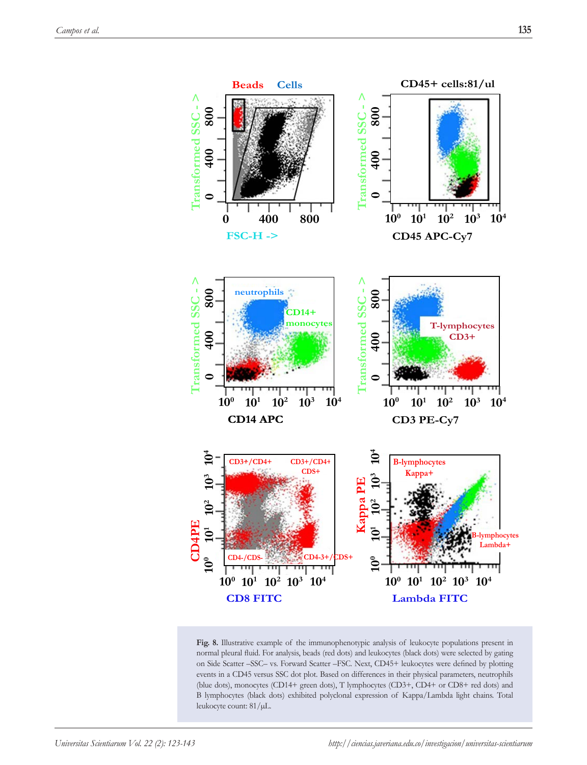![](_page_12_Figure_2.jpeg)

**Fig. 8.** Illustrative example of the immunophenotypic analysis of leukocyte populations present in normal pleural fluid. For analysis, beads (red dots) and leukocytes (black dots) were selected by gating on Side Scatter –SSC– vs. Forward Scatter –FSC. Next, CD45+ leukocytes were defined by plotting events in a CD45 versus SSC dot plot. Based on differences in their physical parameters, neutrophils (blue dots), monocytes (CD14+ green dots), T lymphocytes (CD3+, CD4+ or CD8+ red dots) and B lymphocytes (black dots) exhibited polyclonal expression of Kappa/Lambda light chains. Total leukocyte count: 81/µL.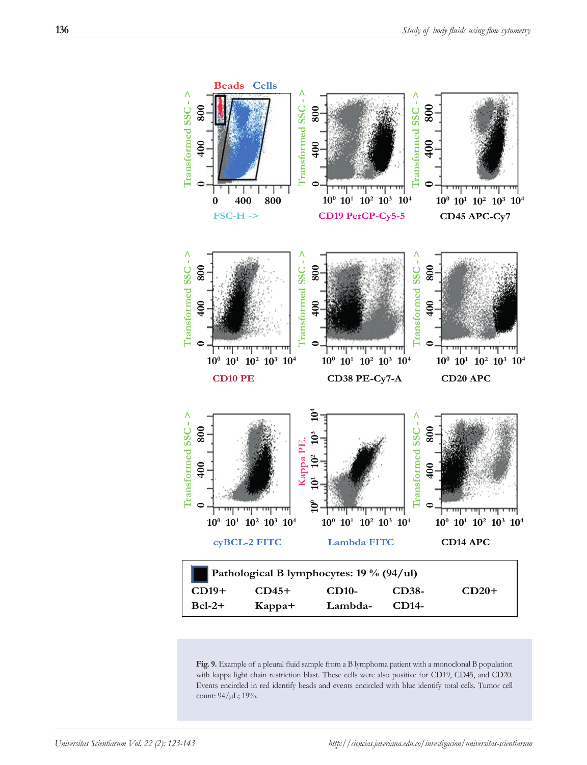![](_page_13_Figure_1.jpeg)

**Fig. 9.** Example of a pleural fluid sample from a B lymphoma patient with a monoclonal B population with kappa light chain restriction blast. These cells were also positive for CD19, CD45, and CD20. Events encircled in red identify beads and events encircled with blue identify total cells. Tumor cell count: 94/µL; 19%.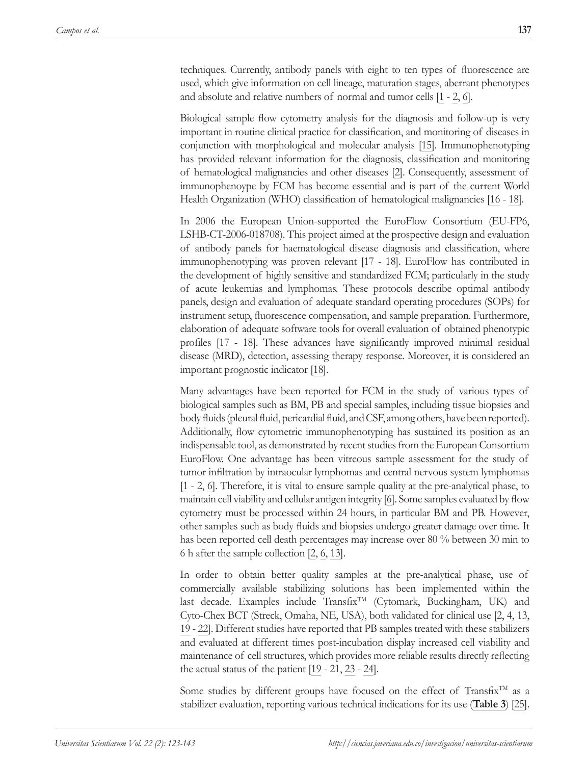techniques. Currently, antibody panels with eight to ten types of fluorescence are used, which give information on cell lineage, maturation stages, aberrant phenotypes and absolute and relative numbers of normal and tumor cells [1 - 2, 6].

Biological sample flow cytometry analysis for the diagnosis and follow-up is very important in routine clinical practice for classification, and monitoring of diseases in conjunction with morphological and molecular analysis [15]. Immunophenotyping has provided relevant information for the diagnosis, classification and monitoring of hematological malignancies and other diseases [2]. Consequently, assessment of immunophenoype by FCM has become essential and is part of the current World Health Organization (WHO) classification of hematological malignancies [16 - 18].

In 2006 the European Union-supported the EuroFlow Consortium (EU-FP6, LSHB-CT-2006-018708). This project aimed at the prospective design and evaluation of antibody panels for haematological disease diagnosis and classification, where immunophenotyping was proven relevant [17 - 18]. EuroFlow has contributed in the development of highly sensitive and standardized FCM; particularly in the study of acute leukemias and lymphomas. These protocols describe optimal antibody panels, design and evaluation of adequate standard operating procedures (SOPs) for instrument setup, fluorescence compensation, and sample preparation. Furthermore, elaboration of adequate software tools for overall evaluation of obtained phenotypic profiles [17 - 18]. These advances have significantly improved minimal residual disease (MRD), detection, assessing therapy response. Moreover, it is considered an important prognostic indicator [18].

Many advantages have been reported for FCM in the study of various types of biological samples such as BM, PB and special samples, including tissue biopsies and body fluids (pleural fluid, pericardial fluid, and CSF, among others, have been reported). Additionally, flow cytometric immunophenotyping has sustained its position as an indispensable tool, as demonstrated by recent studies from the European Consortium EuroFlow. One advantage has been vitreous sample assessment for the study of tumor infiltration by intraocular lymphomas and central nervous system lymphomas [1 - 2, 6]. Therefore, it is vital to ensure sample quality at the pre-analytical phase, to maintain cell viability and cellular antigen integrity [6]. Some samples evaluated by flow cytometry must be processed within 24 hours, in particular BM and PB. However, other samples such as body fluids and biopsies undergo greater damage over time. It has been reported cell death percentages may increase over 80 % between 30 min to 6 h after the sample collection [2, 6, 13].

In order to obtain better quality samples at the pre-analytical phase, use of commercially available stabilizing solutions has been implemented within the last decade. Examples include Transfix<sup>TM</sup> (Cytomark, Buckingham, UK) and Cyto-Chex BCT (Streck, Omaha, NE, USA), both validated for clinical use [2, 4, 13, 19 - 22]. Different studies have reported that PB samples treated with these stabilizers and evaluated at different times post-incubation display increased cell viability and maintenance of cell structures, which provides more reliable results directly reflecting the actual status of the patient [19 - 21, 23 - 24].

Some studies by different groups have focused on the effect of Transfix<sup>TM</sup> as a stabilizer evaluation, reporting various technical indications for its use (**Table 3**) [25].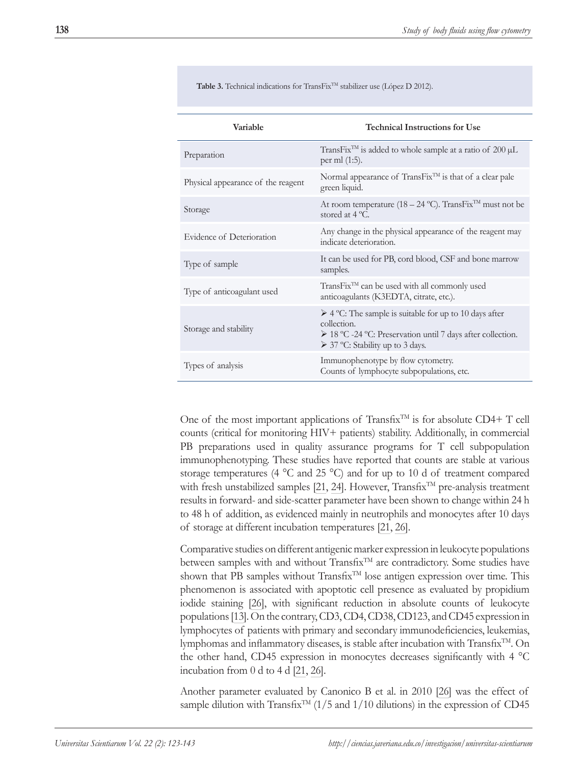Table 3. Technical indications for TransFix<sup>™</sup> stabilizer use (López D 2012).

| Variable                           | <b>Technical Instructions for Use</b>                                                                                                                                                        |  |  |
|------------------------------------|----------------------------------------------------------------------------------------------------------------------------------------------------------------------------------------------|--|--|
| Preparation                        | TransFix <sup>TM</sup> is added to whole sample at a ratio of $200 \mu L$<br>per ml (1:5).                                                                                                   |  |  |
| Physical appearance of the reagent | Normal appearance of $TransFix^{IM}$ is that of a clear pale<br>green liquid.                                                                                                                |  |  |
| Storage                            | At room temperature (18 – 24 °C). TransFix <sup>TM</sup> must not be<br>stored at $4^{\circ}$ C.                                                                                             |  |  |
| Evidence of Deterioration          | Any change in the physical appearance of the reagent may<br>indicate deterioration.                                                                                                          |  |  |
| Type of sample                     | It can be used for PB, cord blood, CSF and bone marrow<br>samples.                                                                                                                           |  |  |
| Type of anticoagulant used         | TransFix <sup>™</sup> can be used with all commonly used<br>anticoagulants (K3EDTA, citrate, etc.).                                                                                          |  |  |
| Storage and stability              | $\triangleright$ 4 °C: The sample is suitable for up to 10 days after<br>collection.<br>> 18 °C -24 °C: Preservation until 7 days after collection.<br>$\geq$ 37 °C: Stability up to 3 days. |  |  |
| Types of analysis                  | Immunophenotype by flow cytometry.<br>Counts of lymphocyte subpopulations, etc.                                                                                                              |  |  |

One of the most important applications of Transfix<sup>TM</sup> is for absolute  $CD4+T$  cell counts (critical for monitoring HIV+ patients) stability. Additionally, in commercial PB preparations used in quality assurance programs for T cell subpopulation immunophenotyping. These studies have reported that counts are stable at various storage temperatures (4  $^{\circ}$ C and 25  $^{\circ}$ C) and for up to 10 d of treatment compared with fresh unstabilized samples [21, 24]. However, Transfix<sup>TM</sup> pre-analysis treatment results in forward- and side-scatter parameter have been shown to change within 24 h to 48 h of addition, as evidenced mainly in neutrophils and monocytes after 10 days of storage at different incubation temperatures [21, 26].

Comparative studies on different antigenic marker expression in leukocyte populations between samples with and without Transfix<sup>TM</sup> are contradictory. Some studies have shown that PB samples without Transfix<sup>TM</sup> lose antigen expression over time. This phenomenon is associated with apoptotic cell presence as evaluated by propidium iodide staining [26], with significant reduction in absolute counts of leukocyte populations [13]. On the contrary, CD3, CD4, CD38, CD123, and CD45 expression in lymphocytes of patients with primary and secondary immunodeficiencies, leukemias, lymphomas and inflammatory diseases, is stable after incubation with Transfix<sup>TM</sup>. On the other hand, CD45 expression in monocytes decreases significantly with 4 °C incubation from 0 d to 4 d [21, 26].

Another parameter evaluated by Canonico B et al. in 2010 [26] was the effect of sample dilution with Transfix<sup>TM</sup> (1/5 and 1/10 dilutions) in the expression of CD45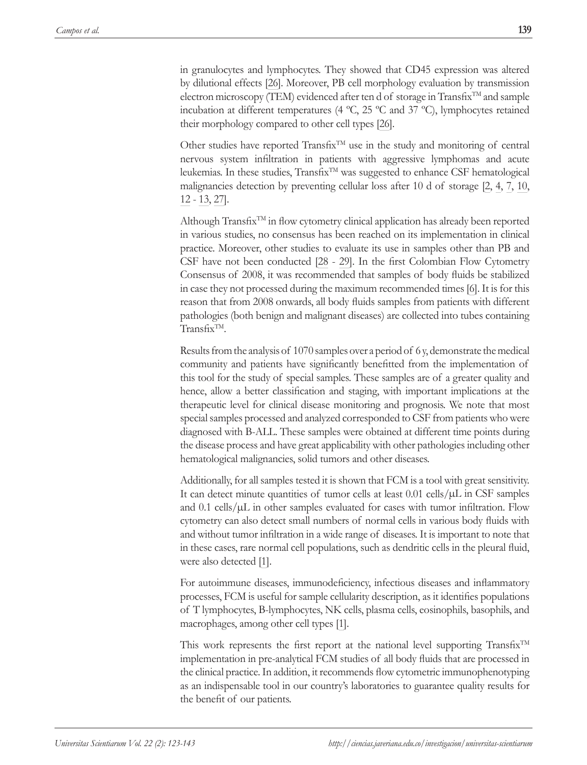in granulocytes and lymphocytes. They showed that CD45 expression was altered by dilutional effects [26]. Moreover, PB cell morphology evaluation by transmission electron microscopy (TEM) evidenced after ten d of storage in Transfix™ and sample incubation at different temperatures (4 ºC, 25 ºC and 37 ºC), lymphocytes retained their morphology compared to other cell types [26].

Other studies have reported Transfix<sup>TM</sup> use in the study and monitoring of central nervous system infiltration in patients with aggressive lymphomas and acute leukemias. In these studies, Transfix<sup>TM</sup> was suggested to enhance CSF hematological malignancies detection by preventing cellular loss after 10 d of storage [2, 4, 7, 10, 12 - 13, 27].

Although Transfix<sup>TM</sup> in flow cytometry clinical application has already been reported in various studies, no consensus has been reached on its implementation in clinical practice. Moreover, other studies to evaluate its use in samples other than PB and CSF have not been conducted [28 - 29]. In the first Colombian Flow Cytometry Consensus of 2008, it was recommended that samples of body fluids be stabilized in case they not processed during the maximum recommended times [6]. It is for this reason that from 2008 onwards, all body fluids samples from patients with different pathologies (both benign and malignant diseases) are collected into tubes containing  $Transfix^{TM}$ .

Results from the analysis of 1070 samples over a period of 6 y, demonstrate the medical community and patients have significantly benefitted from the implementation of this tool for the study of special samples. These samples are of a greater quality and hence, allow a better classification and staging, with important implications at the therapeutic level for clinical disease monitoring and prognosis. We note that most special samples processed and analyzed corresponded to CSF from patients who were diagnosed with B-ALL. These samples were obtained at different time points during the disease process and have great applicability with other pathologies including other hematological malignancies, solid tumors and other diseases.

Additionally, for all samples tested it is shown that FCM is a tool with great sensitivity. It can detect minute quantities of tumor cells at least  $0.01$  cells/ $\mu$ L in CSF samples and  $0.1$  cells/ $\mu$ L in other samples evaluated for cases with tumor infiltration. Flow cytometry can also detect small numbers of normal cells in various body fluids with and without tumor infiltration in a wide range of diseases. It is important to note that in these cases, rare normal cell populations, such as dendritic cells in the pleural fluid, were also detected [1].

For autoimmune diseases, immunodeficiency, infectious diseases and inflammatory processes, FCM is useful for sample cellularity description, as it identifies populations of T lymphocytes, B-lymphocytes, NK cells, plasma cells, eosinophils, basophils, and macrophages, among other cell types [1].

This work represents the first report at the national level supporting Transfix<sup>TM</sup> implementation in pre-analytical FCM studies of all body fluids that are processed in the clinical practice. In addition, it recommends flow cytometric immunophenotyping as an indispensable tool in our country's laboratories to guarantee quality results for the benefit of our patients.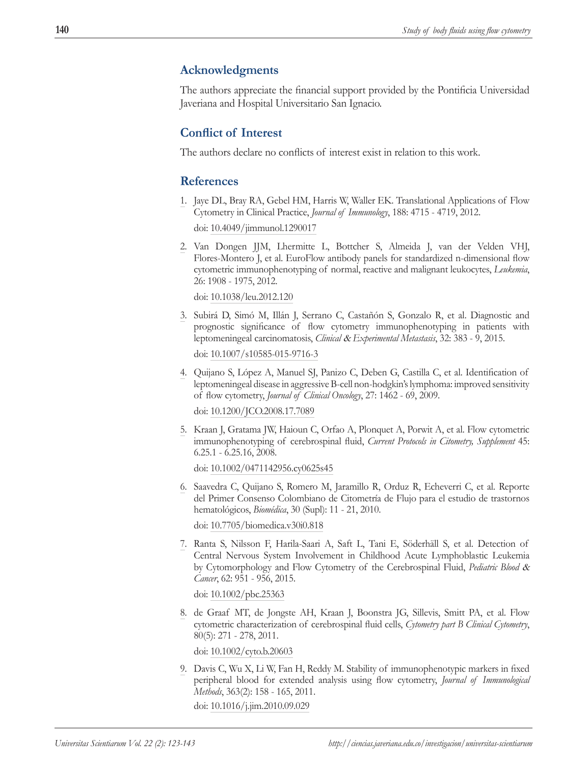## **Acknowledgments**

The authors appreciate the financial support provided by the Pontificia Universidad Javeriana and Hospital Universitario San Ignacio.

## **Conflict of Interest**

The authors declare no conflicts of interest exist in relation to this work.

## **References**

1. Jaye DL, Bray RA, Gebel HM, Harris W, Waller EK. Translational Applications of Flow Cytometry in Clinical Practice, *Journal of Immunology*, 188: 4715 - 4719, 2012.

doi: 10.4049/jimmunol.1290017

2. Van Dongen JJM, Lhermitte L, Bottcher S, Almeida J, van der Velden VHJ, Flores-Montero J, et al. EuroFlow antibody panels for standardized n-dimensional flow cytometric immunophenotyping of normal, reactive and malignant leukocytes, *Leukemia*, 26: 1908 - 1975, 2012.

doi: 10.1038/leu.2012.120

3. Subirá D, Simó M, Illán J, Serrano C, Castañón S, Gonzalo R, et al. Diagnostic and prognostic significance of flow cytometry immunophenotyping in patients with leptomeningeal carcinomatosis, *Clinical* & *Experimental Metastasis*, 32: 383 - 9, 2015.

doi: 10.1007/s10585-015-9716-3

4. Quijano S, López A, Manuel SJ, Panizo C, Deben G, Castilla C, et al. Identification of leptomeningeal disease in aggressive B-cell non-hodgkin's lymphoma: improved sensitivity of flow cytometry, *Journal of Clinical Oncology*, 27: 1462 - 69, 2009.

doi: 10.1200/JCO.2008.17.7089

5. Kraan J, Gratama JW, Haioun C, Orfao A, Plonquet A, Porwit A, et al. Flow cytometric immunophenotyping of cerebrospinal fluid, *Current Protocols in Citometry, Supplement* 45: 6.25.1 - 6.25.16, 2008.

doi: 10.1002/0471142956.cy0625s45

6. Saavedra C, Quijano S, Romero M, Jaramillo R, Orduz R, Echeverri C, et al. Reporte del Primer Consenso Colombiano de Citometría de Flujo para el estudio de trastornos hematológicos, *Biomédica*, 30 (Supl): 11 - 21, 2010.

doi: 10.7705/biomedica.v30i0.818

7. Ranta S, Nilsson F, Harila-Saari A, Saft L, Tani E, Söderhäll S, et al. Detection of Central Nervous System Involvement in Childhood Acute Lymphoblastic Leukemia by Cytomorphology and Flow Cytometry of the Cerebrospinal Fluid, *Pediatric Blood* & *Cancer*, 62: 951 - 956, 2015.

doi: 10.1002/pbc.25363

8. de Graaf MT, de Jongste AH, Kraan J, Boonstra JG, Sillevis, Smitt PA, et al. Flow cytometric characterization of cerebrospinal fluid cells, *Cytometry part B Clinical Cytometry*, 80(5): 271 - 278, 2011.

doi: 10.1002/cyto.b.20603

9. Davis C, Wu X, Li W, Fan H, Reddy M. Stability of immunophenotypic markers in fixed peripheral blood for extended analysis using flow cytometry, *Journal of Immunological Methods*, 363(2): 158 - 165, 2011.

doi: 10.1016/j.jim.2010.09.029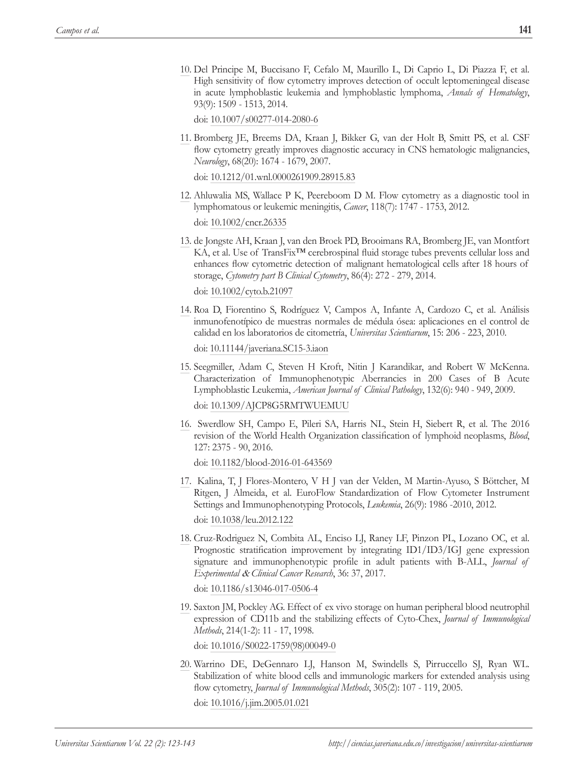10. Del Principe M, Buccisano F, Cefalo M, Maurillo L, Di Caprio L, Di Piazza F, et al. High sensitivity of flow cytometry improves detection of occult leptomeningeal disease in acute lymphoblastic leukemia and lymphoblastic lymphoma, *Annals of Hematology*, 93(9): 1509 - 1513, 2014.

doi: 10.1007/s00277-014-2080-6

11. Bromberg JE, Breems DA, Kraan J, Bikker G, van der Holt B, Smitt PS, et al. CSF flow cytometry greatly improves diagnostic accuracy in CNS hematologic malignancies, *Neurology*, 68(20): 1674 - 1679, 2007.

doi: 10.1212/01.wnl.0000261909.28915.83

- 12. Ahluwalia MS, Wallace P K, Peereboom D M. Flow cytometry as a diagnostic tool in lymphomatous or leukemic meningitis, *Cancer*, 118(7): 1747 - 1753, 2012. doi: 10.1002/cncr.26335
- 13. de Jongste AH, Kraan J, van den Broek PD, Brooimans RA, Bromberg JE, van Montfort KA, et al. Use of TransFix™ cerebrospinal fluid storage tubes prevents cellular loss and enhances flow cytometric detection of malignant hematological cells after 18 hours of storage, *Cytometry part B Clinical Cytometry*, 86(4): 272 - 279, 2014.

doi: 10.1002/cyto.b.21097

14. Roa D, Fiorentino S, Rodríguez V, Campos A, Infante A, Cardozo C, et al. Análisis inmunofenotípico de muestras normales de médula ósea: aplicaciones en el control de calidad en los laboratorios de citometría, *Universitas Scientiarum*, 15: 206 - 223, 2010.

doi: 10.11144/javeriana.SC15-3.iaon

15. Seegmiller, Adam C, Steven H Kroft, Nitin J Karandikar, and Robert W McKenna. Characterization of Immunophenotypic Aberrancies in 200 Cases of B Acute Lymphoblastic Leukemia, *American Journal of Clinical Pathology*, 132(6): 940 - 949, 2009.

doi: 10.1309/AJCP8G5RMTWUEMUU

16. Swerdlow SH, Campo E, Pileri SA, Harris NL, Stein H, Siebert R, et al. The 2016 revision of the World Health Organization classification of lymphoid neoplasms, *Blood*, 127: 2375 - 90, 2016.

doi: 10.1182/blood-2016-01-643569

- 17. Kalina, T, J Flores-Montero, V H J van der Velden, M Martin-Ayuso, S Böttcher, M Ritgen, J Almeida, et al. EuroFlow Standardization of Flow Cytometer Instrument Settings and Immunophenotyping Protocols, *Leukemia*, 26(9): 1986 -2010, 2012. doi: 10.1038/leu.2012.122
- 18. Cruz-Rodriguez N, Combita AL, Enciso LJ, Raney LF, Pinzon PL, Lozano OC, et al. Prognostic stratification improvement by integrating ID1/ID3/IGJ gene expression signature and immunophenotypic profile in adult patients with B-ALL, *Journal of Experimental* & *Clinical Cancer Research*, 36: 37, 2017.

doi: 10.1186/s13046-017-0506-4

19. Saxton JM, Pockley AG. Effect of ex vivo storage on human peripheral blood neutrophil expression of CD11b and the stabilizing effects of Cyto-Chex, *Journal of Immunological Methods*, 214(1-2): 11 - 17, 1998.

doi: 10.1016/S0022-1759(98)00049-0

20. Warrino DE, DeGennaro LJ, Hanson M, Swindells S, Pirruccello SJ, Ryan WL. Stabilization of white blood cells and immunologic markers for extended analysis using flow cytometry, *Journal of Immunological Methods*, 305(2): 107 - 119, 2005.

doi: 10.1016/j.jim.2005.01.021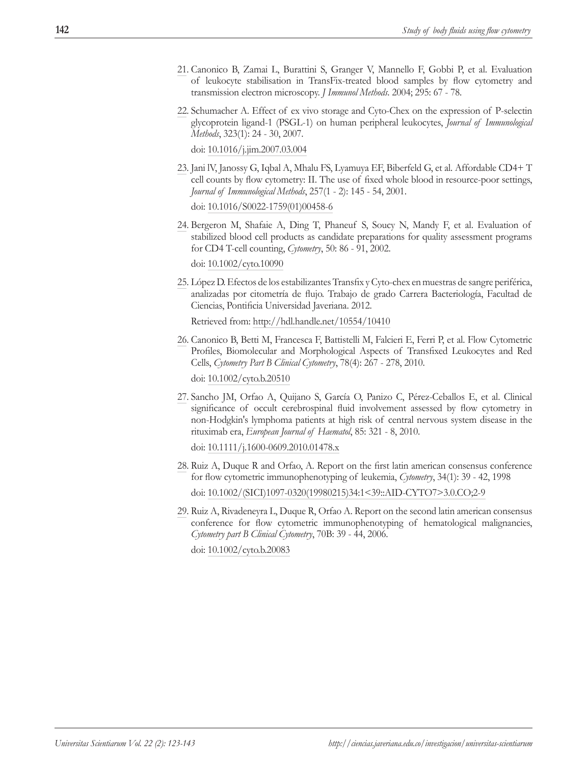- 21. Canonico B, Zamai L, Burattini S, Granger V, Mannello F, Gobbi P, et al. Evaluation of leukocyte stabilisation in TransFix-treated blood samples by flow cytometry and transmission electron microscopy. *J Immunol Methods*. 2004; 295: 67 - 78.
- 22. Schumacher A. Effect of ex vivo storage and Cyto-Chex on the expression of P-selectin glycoprotein ligand-1 (PSGL-1) on human peripheral leukocytes, *Journal of Immunological Methods*, 323(1): 24 - 30, 2007.

doi: 10.1016/j.jim.2007.03.004

23. Jani lV, Janossy G, Iqbal A, Mhalu FS, Lyamuya EF, Biberfeld G, et al. Affordable CD4+ T cell counts by flow cytometry: II. The use of fixed whole blood in resource-poor settings, *Journal of Immunological Methods*, 257(1 - 2): 145 - 54, 2001.

doi: 10.1016/S0022-1759(01)00458-6

24. Bergeron M, Shafaie A, Ding T, Phaneuf S, Soucy N, Mandy F, et al. Evaluation of stabilized blood cell products as candidate preparations for quality assessment programs for CD4 T-cell counting, *Cytometry*, 50: 86 - 91, 2002.

doi: 10.1002/cyto.10090

25. López D. Efectos de los estabilizantes Transfix y Cyto-chex en muestras de sangre periférica, analizadas por citometría de flujo. Trabajo de grado Carrera Bacteriología, Facultad de Ciencias, Pontificia Universidad Javeriana. 2012.

Retrieved from: http://hdl.handle.net/10554/10410

- 26. Canonico B, Betti M, Francesca F, Battistelli M, Falcieri E, Ferri P, et al. Flow Cytometric Profiles, Biomolecular and Morphological Aspects of Transfixed Leukocytes and Red Cells, *Cytometry Part B Clinical Cytometry*, 78(4): 267 - 278, 2010. doi: 10.1002/cyto.b.20510
- 27. Sancho JM, Orfao A, Quijano S, García O, Panizo C, Pérez-Ceballos E, et al. Clinical significance of occult cerebrospinal fluid involvement assessed by flow cytometry in non-Hodgkin's lymphoma patients at high risk of central nervous system disease in the rituximab era, *European Journal of Haematol*, 85: 321 - 8, 2010.

doi: 10.1111/j.1600-0609.2010.01478.x

- 28. Ruiz A, Duque R and Orfao, A. Report on the first latin american consensus conference for flow cytometric immunophenotyping of leukemia, *Cytometry*, 34(1): 39 - 42, 1998 doi: 10.1002/(SICI)1097-0320(19980215)34:1<39::AID-CYTO7>3.0.CO;2-9
- 29. Ruiz A, Rivadeneyra L, Duque R, Orfao A. Report on the second latin american consensus conference for flow cytometric immunophenotyping of hematological malignancies, *Cytometry part B Clinical Cytometry*, 70B: 39 - 44, 2006.

doi: 10.1002/cyto.b.20083